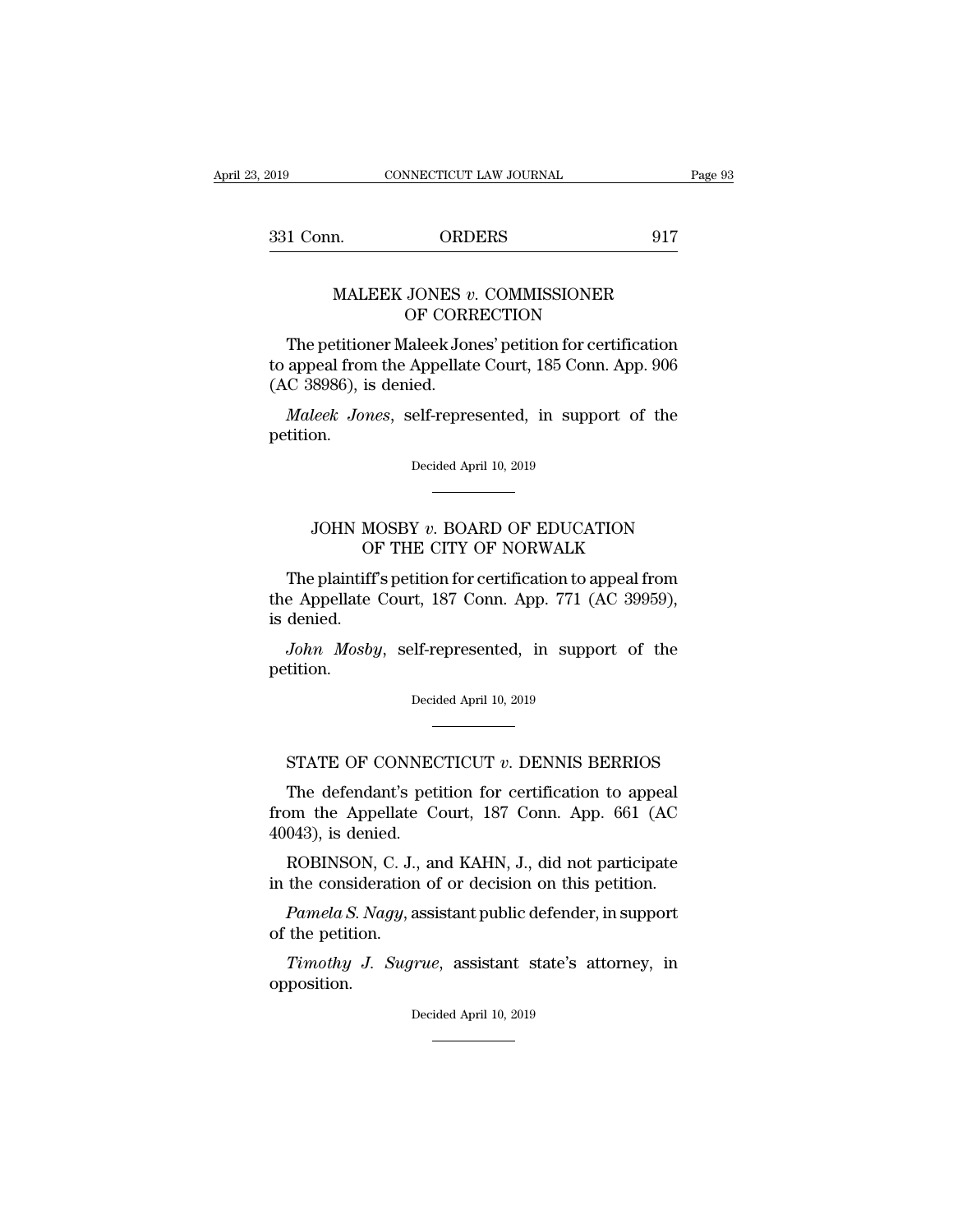| 2019      | CONNECTICUT LAW JOURNAL | Page 93 |
|-----------|-------------------------|---------|
| 331 Conn. | <b>ORDERS</b>           | 917     |

## EXECUTE CONNECTICUT LAW JOURNAL Page Page CONNECTICUT LAW JOURNAL Page Page 217<br>
MALEEK JONES *v*. COMMISSIONER OF CORRECTION ORDERS<br>
JONES v. COMMISSIONER<br>
OF CORRECTION<br>
Ialeek Jones' petition for certificat

1 Conn. ORDERS 917<br>
MALEEK JONES v. COMMISSIONER<br>
OF CORRECTION<br>
The petitioner Maleek Jones' petition for certification<br>
appeal from the Appellate Court, 185 Conn. App. 906<br>
C. 38986), is donied MALEEK JONES v. COMMISSIONER<br>
OF CORRECTION<br>
The petitioner Maleek Jones' petition for certification<br>
to appeal from the Appellate Court, 185 Conn. App. 906<br>
(AC 38986), is denied. MALEEK JONES v<br>OF CORE<br>The petitioner Maleek Jor<br>to appeal from the Appellate<br>(AC 38986), is denied.<br>Maleek Jones, self-repre MALEEK JONES *v*. COMMISSIONER<br>
OF CORRECTION<br>
The petitioner Maleek Jones' petition for certification<br>
appeal from the Appellate Court, 185 Conn. App. 906<br>
C 38986), is denied.<br> *Maleek Jones*, self-represented, in suppor

petition. ed.<br>elf-represented, in supp<br>Decided April 10, 2019 JOHN MOSBY *<sup>v</sup>*. BOARD OF EDUCATION

## Decided April 10, 2019<br>Decided April 10, 2019<br>MOSBY v. BOARD OF EDUCATION<br>OF THE CITY OF NORWALK<br>Iff's petition for certification to appeal from

Decided April 10, 2019<br>
The plaintiff's petition for certification to appeal from<br>
the plaintiff's petition for certification to appeal from<br>
the Appellate Court, 187 Conn. App. 771 (AC 39959),<br>
dopied JOHN MOSBY v. BOARD OF EDUCATION<br>OF THE CITY OF NORWALK<br>The plaintiff's petition for certification to appeal from<br>the Appellate Court, 187 Conn. App. 771 (AC 39959),<br>is denied. JOHN MC<br>OF<br>The plaintiff<br>the Appellate<br>is denied.<br>John Mosby *JOHN MOSBY v. BOARD OF EDUCATION*<br> *OF THE CITY OF NORWALK*<br> *The plaintiff's petition for certification to appeal from*<br> *e Appellate Court, 187 Conn. App. 771 (AC 39959),*<br> *denied.*<br> *John Mosby, self-represented, in s* the Appellate Court, 187 Conn. App. 771 (AC 39959), is denied.<br> *John Mosby*, self-represented, in support of the petition.<br>
Decided April 10, 2019

petition. John Mosby, self-represented, in support of the<br>tition.<br>Decided April 10, 2019<br>STATE OF CONNECTICUT *v*. DENNIS BERRIOS<br>The defendant's petition for certification to appeal

Decided April 10, 2019<br>
TATE OF CONNECTICUT v. DENNIS BERRIOS<br>
The defendant's petition for certification to appeal<br>
om the Appellate Court, 187 Conn. App. 661 (AC<br>
043) is donied Decided April 10, 2019<br>
FIATE OF CONNECTICUT v. DENNIS BERRIOS<br>
The defendant's petition for certification to appeal<br>
from the Appellate Court, 187 Conn. App. 661 (AC<br>
40043), is denied. STATE OF CONNEC<br>The defendant's pet<br>from the Appellate C<br>40043), is denied.<br>ROBINSON, C. J., are STATE OF CONNECTICUT  $v$ . DENNIS BERRIOS<br>The defendant's petition for certification to appeal<br>om the Appellate Court, 187 Conn. App. 661 (AC<br>043), is denied.<br>ROBINSON, C. J., and KAHN, J., did not participate<br>the consider STATE OF CONNECTICUT  $v$ . DENNIS BERRIOS<br>The defendant's petition for certification to appeal<br>from the Appellate Court, 187 Conn. App. 661 (AC<br>40043), is denied.<br>ROBINSON, C. J., and KAHN, J., did not participate<br>in the c The defendant's petition for certification to appeal<br>pm the Appellate Court, 187 Conn. App. 661 (AC<br>043), is denied.<br>ROBINSON, C. J., and KAHN, J., did not participate<br>the consideration of or decision on this petition.<br>*Pa* from the Appellate 40043), is denied.<br>ROBINSON, C. J.,<br>in the consideration<br> $Pameda S. Nagy$ , a<br>of the petition.<br>Timothy J. Sugr

*THERER EQUENSON, C. J., and KAHN, J., did not participate*<br> *The consideration of or decision on this petition.*<br> *Pamela S. Nagy, assistant public defender, in support*<br> *Timothy J. Sugrue, assistant state's attorney, in* opposition. Timothy J. Sugrue, assistant state's attorney, in position.<br>Decided April 10, 2019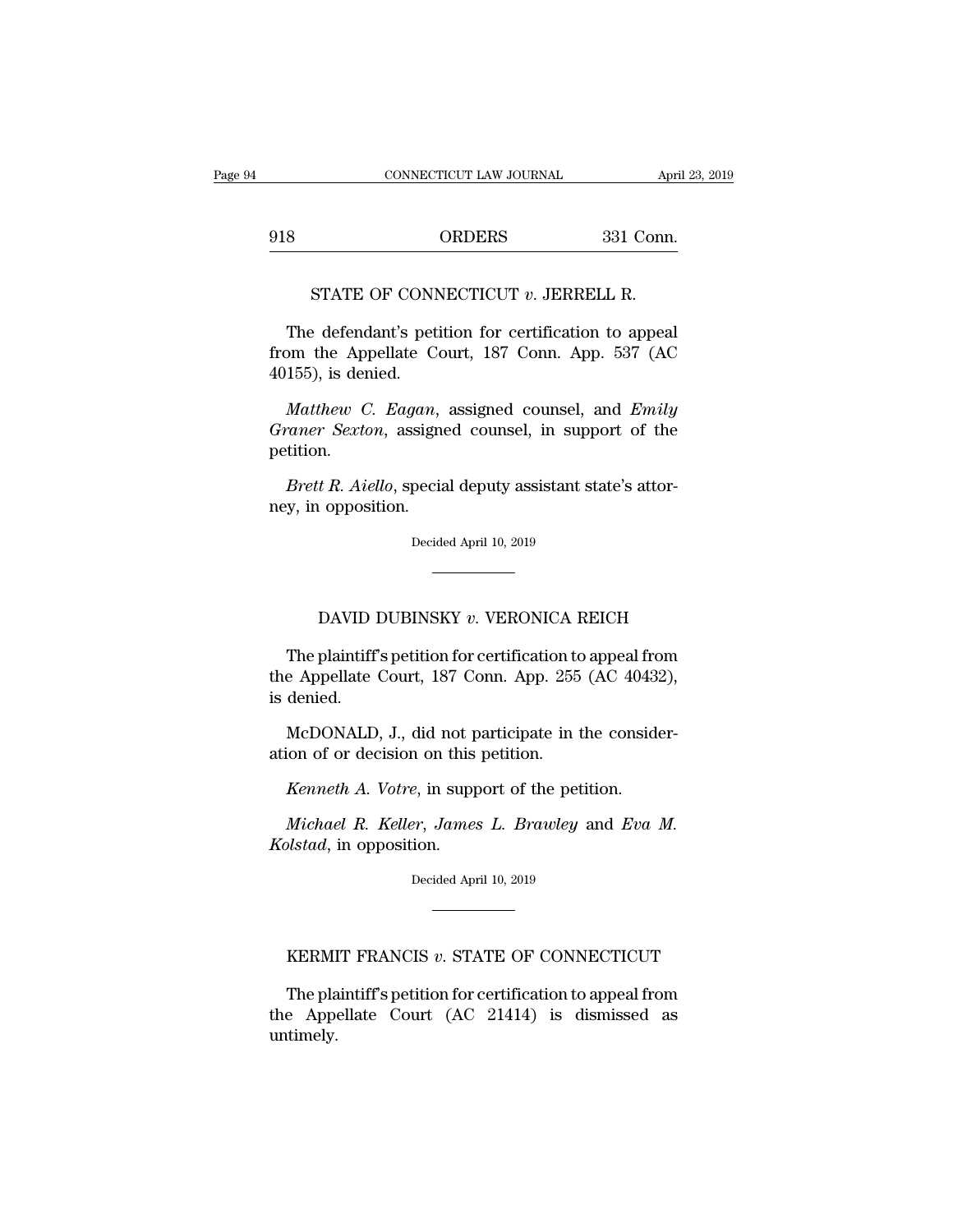EXECUTE CONNECTICUT LAW JOURNAL April 23, 20<br>918 ORDERS 331 Conn. CONNECTICUT LAW JOURNAL Approxes<br>
ORDERS 331 Conn<br>
STATE OF CONNECTICUT *v*. JERRELL R.<br>
Perfendant's petition for certification to appear

STATE OF CONNECTICUT v. JERRELL R.<br>The defendant's petition for certification to appeal<br>Dm the Appellate Court, 187 Conn. App. 537 (AC 918 ORDERS 331 Conn.<br>
STATE OF CONNECTICUT  $v$ . JERRELL R.<br>
The defendant's petition for certification to appeal<br>
from the Appellate Court, 187 Conn. App. 537 (AC<br>
40155), is denied. STATE OF CONN<br>The defendant's pet<br>from the Appellate C<br>40155), is denied.<br>*Matthew C. Eagan.* STATE OF CONNECTICUT *v*. JERRELL R.<br>The defendant's petition for certification to appeal<br>pm the Appellate Court, 187 Conn. App. 537 (AC<br>155), is denied.<br>*Matthew C. Eagan*, assigned counsel, and *Emily*<br>*raner Sexton*, as

The defendant's petition for certification to appeal<br>from the Appellate Court, 187 Conn. App. 537 (AC<br>40155), is denied.<br>*Matthew C. Eagan*, assigned counsel, and *Emily*<br>Graner Sexton, assigned counsel, in support of the<br> petition. from the Appellate Court, 187 Conn. App. 537 (AC 40155), is denied.<br> *Matthew C. Eagan*, assigned counsel, and *Emily Graner Sexton*, assigned counsel, in support of the petition.<br> *Brett R. Aiello*, special deputy assista Matthew C. Eagan,<br>Graner Sexton, assigne<br>petition.<br>Brett R. Aiello, specia<br>ney, in opposition.

Brett R. Aiello, special deputy assistant state's attor-<br>by, in opposition.<br>Decided April 10, 2019 Lettra, Special deputy assistant state *s* attorney apposition.<br>Decided April 10, 2019<br>DAVID DUBINSKY *v*. VERONICA REICH<br>plaintiff's petition for certification to appeal from

Decided April 10, 2019<br>
The plaintiff's petition for certification to appeal from<br>
The plaintiff's petition for certification to appeal from<br>
Expellate Court, 187 Conn. App. 255 (AC 40432),<br>
depied The plaintiff's petition for certification to appeal from<br>the Appellate Court, 187 Conn. App. 255 (AC 40432),<br>is denied. DAVID I<br>The plaintiff<br>the Appellate<br>is denied.<br>McDONALD DAVID DUBINSKY v. VERONICA REICH<br>The plaintiff's petition for certification to appeal from<br>e Appellate Court, 187 Conn. App. 255 (AC 40432),<br>denied.<br>McDONALD, J., did not participate in the consider-<br>ion of or decision on The plaintiff's petition for certification to<br>the Appellate Court, 187 Conn. App. 255<br>is denied.<br>McDONALD, J., did not participate in t<br>ation of or decision on this petition.<br>Kenneth A. Votre. in support of the pet ric plantari spectrom of certification to appear it<br>e Appellate Court, 187 Conn. App. 255 (AC 4043;<br>denied.<br>McDONALD, J., did not participate in the conside<br>ion of or decision on this petition.<br>*Kenneth A. Votre*, in suppo

*McDONALD, J., did not participate in the considerion of or decision on this petition.*<br>*Kenneth A. Votre, in support of the petition.*<br>*Michael R. Keller, James L. Brawley and Eva M.*<br>*plstad, in opposition. Kellandger*, J., did not pation of or decision on this<br>*Kenneth A. Votre*, in supp<br>*Michael R. Keller*, *James*<br>*Kolstad*, in opposition.<br>Decided Apr

Kenneth A. Votre, in support of the petition.<br>Michael R. Keller, James L. Brawley and Eva M.<br>Kolstad, in opposition.<br>Decided April 10, 2019 Michael T. Healt), buildes E. Drawing and Ebu International proceeds April 10, 2019<br>Decided April 10, 2019<br>KERMIT FRANCIS *v*. STATE OF CONNECTICUT<br>The plaintiff's petition for certification to appeal from

Decided April 10, 2019<br>
The plaintiff's petition for certification to appeal from<br>
The plaintiff's petition for certification to appeal from<br>
e Appellate Court (AC 21414) is dismissed as<br>
timely **EXEMIT FRANCIS**  $v$ . STATE OF CONNECTICUT<br>The plaintiff's petition for certification to appeal from<br>the Appellate Court (AC 21414) is dismissed as<br>untimely. untimely.